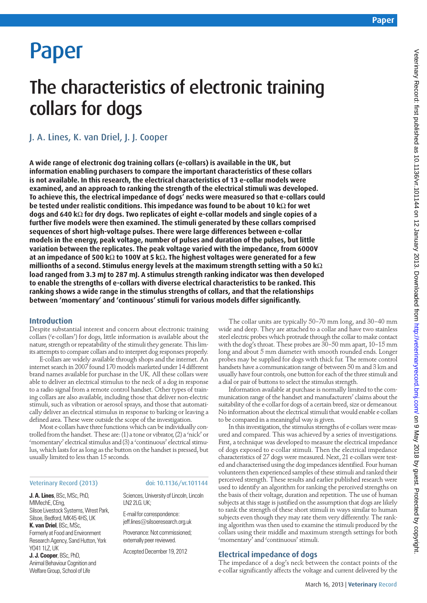# Paper

## The characteristics of electronic training collars for dogs

### J. A. Lines, K. van Driel, J. J. Cooper

**A wide range of electronic dog training collars (e-collars) is available in the UK, but information enabling purchasers to compare the important characteristics of these collars is not available. In this research, the electrical characteristics of 13 e-collar models were examined, and an approach to ranking the strength of the electrical stimuli was developed. To achieve this, the electrical impedance of dogs' necks were measured so that e-collars could be tested under realistic conditions. This impedance was found to be about 10 k**Ω **for wet dogs and 640 k**Ω **for dry dogs. Two replicates of eight e-collar models and single copies of a further five models were then examined. The stimuli generated by these collars comprised sequences of short high-voltage pulses. There were large differences between e-collar models in the energy, peak voltage, number of pulses and duration of the pulses, but little variation between the replicates. The peak voltage varied with the impedance, from 6000V at an impedance of 500 k**Ω **to 100V at 5 k**Ω**. The highest voltages were generated for a few millionths of a second. Stimulus energy levels at the maximum strength setting with a 50 k**Ω **load ranged from 3.3 mJ to 287 mJ. A stimulus strength ranking indicator was then developed to enable the strengths of e-collars with diverse electrical characteristics to be ranked. This ranking shows a wide range in the stimulus strengths of collars, and that the relationships between 'momentary' and 'continuous' stimuli for various models differ significantly.**

#### **Introduction**

Despite substantial interest and concern about electronic training collars ('e-collars') for dogs, little information is available about the nature, strength or repeatability of the stimuli they generate. This limits attempts to compare collars and to interpret dog responses properly.

E-collars are widely available through shops and the internet. An internet search in 2007 found 170 models marketed under 14 different brand names available for purchase in the UK. All these collars were able to deliver an electrical stimulus to the neck of a dog in response to a radio signal from a remote control handset. Other types of training collars are also available, including those that deliver non-electric stimuli, such as vibration or aerosol sprays, and those that automatically deliver an electrical stimulus in response to barking or leaving a defined area. These were outside the scope of the investigation.

Most e-collars have three functions which can be individually controlled from the handset. These are: (1) a tone or vibrator, (2) a 'nick' or 'momentary' electrical stimulus and (3) a 'continuous' electrical stimulus, which lasts for as long as the button on the handset is pressed, but usually limited to less than 15 seconds.

#### Veterinary Record (2013) doi: 10.1136/vr.101144

**J. A. Lines**, BSc, MSc, PhD, MIMechE, CEng, Silsoe Livestock Systems, Wrest Park, Silsoe, Bedford, MK45 4HS, UK **K. van Driel**, BSc, MSc, Formerly at Food and Environment Research Agency, Sand Hutton, York YO41 1LZ, UK **J. J. Cooper**, BSc, PhD,

Animal Behaviour Cognition and Welfare Group, School of Life

Sciences, University of Lincoln, Lincoln LN2 2LG. UK;

E-mail for correspondence: jeff.lines@silsoeresearch.org.uk

Provenance: Not commissioned; externally peer reviewed.

Accepted December 19, 2012

The collar units are typically 50–70 mm long, and 30–40 mm wide and deep. They are attached to a collar and have two stainless steel electric probes which protrude through the collar to make contact with the dog's throat. These probes are 30–50 mm apart, 10–15 mm long and about 5 mm diameter with smooth rounded ends. Longer probes may be supplied for dogs with thick fur. The remote control handsets have a communication range of between 50 m and 3 km and usually have four controls, one button for each of the three stimuli and a dial or pair of buttons to select the stimulus strength.

Information available at purchase is normally limited to the communication range of the handset and manufacturers' claims about the suitability of the e-collar for dogs of a certain breed, size or demeanour. No information about the electrical stimuli that would enable e-collars to be compared in a meaningful way is given.

In this investigation, the stimulus strengths of e-collars were measured and compared. This was achieved by a series of investigations. First, a technique was developed to measure the electrical impedance of dogs exposed to e-collar stimuli. Then the electrical impedance characteristics of 27 dogs were measured. Next, 21 e-collars were tested and characterised using the dog impedances identified. Four human volunteers then experienced samples of these stimuli and ranked their perceived strength. These results and earlier published research were used to identify an algorithm for ranking the perceived strengths on the basis of their voltage, duration and repetition. The use of human subjects at this stage is justified on the assumption that dogs are likely to rank the strength of these short stimuli in ways similar to human subjects even though they may rate them very differently. The ranking algorithm was then used to examine the stimuli produced by the collars using their middle and maximum strength settings for both 'momentary' and 'continuous' stimuli.

### **Electrical impedance of dogs**

The impedance of a dog's neck between the contact points of the e-collar significantly affects the voltage and current delivered by the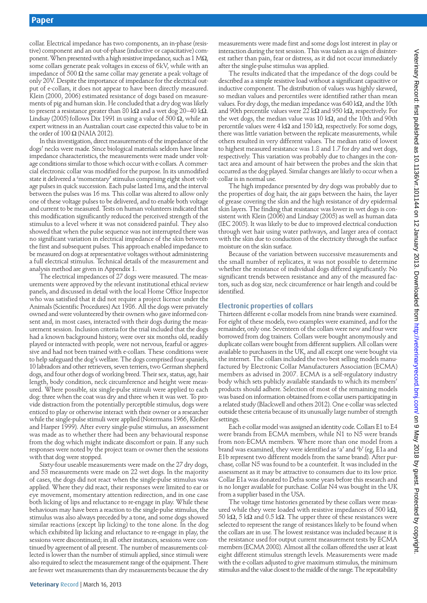collar. Electrical impedance has two components, an in-phase (resistive) component and an out-of-phase (inductive or capacitative) component. When presented with a high resistive impedance, such as 1 M $\Omega$ , some collars generate peak voltages in excess of 6kV, while with an impedance of 500  $\Omega$  the same collar may generate a peak voltage of only 20V. Despite the importance of impedance for the electrical output of e-collars, it does not appear to have been directly measured. Klein (2000, 2006) estimated resistance of dogs based on measurements of pig and human skin. He concluded that a dry dog was likely to present a resistance greater than 80 kΩ and a wet dog 20-40 kΩ. Lindsay (2005) follows Dix 1991 in using a value of 500  $\Omega$ , while an expert witness in an Australian court case expected this value to be in the order of 100 Ω (NAIA 2012).

In this investigation, direct measurements of the impedance of the dogs' necks were made. Since biological materials seldom have linear impedance characteristics, the measurements were made under voltage conditions similar to those which occur with e-collars. A commercial electronic collar was modified for the purpose. In its unmodified state it delivered a 'momentary' stimulus comprising eight short voltage pulses in quick succession. Each pulse lasted 1ms, and the interval between the pulses was 16 ms. This collar was altered to allow only one of these voltage pulses to be delivered, and to enable both voltage and current to be measured. Tests on human volunteers indicated that this modification significantly reduced the perceived strength of the stimulus to a level where it was not considered painful. They also showed that when the pulse sequence was not interrupted there was no significant variation in electrical impedance of the skin between the first and subsequent pulses. This approach enabled impedance to be measured on dogs at representative voltages without administering a full electrical stimulus. Technical details of the measurement and analysis method are given in Appendix 1.

The electrical impedances of 27 dogs were measured. The measurements were approved by the relevant institutional ethical review panels, and discussed in detail with the local Home Office Inspector who was satisfied that it did not require a project licence under the Animals (Scientific Procedures) Act 1986. All the dogs were privately owned and were volunteered by their owners who gave informed consent and, in most cases, interacted with their dogs during the measurement session. Inclusion criteria for the trial included that the dogs had a known background history, were over six months old, readily played or interacted with people, were not nervous, fearful or aggressive and had not been trained with e-collars. These conditions were to help safeguard the dog's welfare. The dogs comprised four spaniels, 10 labradors and other retrievers, seven terriers, two German shepherd dogs, and four other dogs of working breed. Their sex, status, age, hair length, body condition, neck circumference and height were measured. Where possible, six single-pulse stimuli were applied to each dog: three when the coat was dry and three when it was wet. To provide distraction from the potentially perceptible stimulus, dogs were enticed to play or otherwise interact with their owner or a researcher while the single-pulse stimuli were applied (Notermans 1966, Kleiber and Harper 1999). After every single-pulse stimulus, an assessment was made as to whether there had been any behavioural response from the dog which might indicate discomfort or pain. If any such responses were noted by the project team or owner then the sessions with that dog were stopped.

Sixty-four useable measurements were made on the 27 dry dogs, and 53 measurements were made on 22 wet dogs. In the majority of cases, the dogs did not react when the single-pulse stimulus was applied. Where they did react, their responses were limited to ear or eye movement, momentary attention redirection, and in one case both licking of lips and reluctance to re-engage in play. While these behaviours may have been a reaction to the single-pulse stimulus, the stimulus was also always preceded by a tone, and some dogs showed similar reactions (except lip licking) to the tone alone. In the dog which exhibited lip licking and reluctance to re-engage in play, the sessions were discontinued; in all other instances, sessions were continued by agreement of all present. The number of measurements collected is lower than the number of stimuli applied, since stimuli were also required to select the measurement range of the equipment. There are fewer wet measurements than dry measurements because the dry

measurements were made first and some dogs lost interest in play or interaction during the test session. This was taken as a sign of disinterest rather than pain, fear or distress, as it did not occur immediately after the single-pulse stimulus was applied.

The results indicated that the impedance of the dogs could be described as a simple resistive load without a significant capacitive or inductive component. The distribution of values was highly skewed, so median values and percentiles were identified rather than mean values. For dry dogs, the median impedance was 640 k $\Omega$ , and the 10th and 90th percentile values were  $22$  k $\Omega$  and 950 k $\Omega$ , respectively. For the wet dogs, the median value was 10 k $\Omega$ , and the 10th and 90th percentile values were 4 kΩ and 150 kΩ, respectively. For some dogs, there was little variation between the replicate measurements, while others resulted in very different values. The median ratio of lowest to highest measured resistance was 1.8 and 1.7 for dry and wet dogs, respectively. This variation was probably due to changes in the contact area and amount of hair between the probes and the skin that occurred as the dog played. Similar changes are likely to occur when a collar is in normal use.

The high impedance presented by dry dogs was probably due to the properties of dog hair, the air gaps between the hairs, the layer of grease covering the skin and the high resistance of dry epidermal skin layers. The finding that resistance was lower in wet dogs is consistent with Klein (2006) and Lindsay (2005) as well as human data (IEC 2005). It was likely to be due to improved electrical conduction through wet hair using water pathways, and larger area of contact with the skin due to conduction of the electricity through the surface moisture on the skin surface.

Because of the variation between successive measurements and the small number of replicates, it was not possible to determine whether the resistance of individual dogs differed significantly. No significant trends between resistance and any of the measured factors, such as dog size, neck circumference or hair length and could be identified.

#### **Electronic properties of collars**

Thirteen different e-collar models from nine brands were examined. For eight of these models, two examples were examined, and for the remainder, only one. Seventeen of the collars were new and four were borrowed from dog trainers. Collars were bought anonymously and duplicate collars were bought from different suppliers. All collars were available to purchasers in the UK, and all except one were bought via the internet. The collars included the two best selling models manufactured by Electronic Collar Manufacturers Association (ECMA) members as advised in 2007. ECMA is a self-regulatory industry body which sets publicly available standards to which its members' products should adhere. Selection of most of the remaining models was based on information obtained from e-collar users participating in a related study (Blackwell and others 2012). One e-collar was selected outside these criteria because of its unusually large number of strength settings.

Each e-collar model was assigned an identity code. Collars E1 to E4 were brands from ECMA members, while N1 to N5 were brands from non-ECMA members. Where more than one model from a brand was examined, they were identified as 'a' and 'b' (eg, E1a and E1b represent two different models from the same brand). After purchase, collar N5 was found to be a counterfeit. It was included in the assessment as it may be attractive to consumers due to its low price. Collar E1a was donated to Defra some years before this research and is no longer available for purchase. Collar N4 was bought in the UK from a supplier based in the USA.

The voltage time histories generated by these collars were measured while they were loaded with resistive impedances of 500 k $\Omega$ , 50 kΩ, 5 kΩ and 0.5 kΩ. The upper three of these resistances were selected to represent the range of resistances likely to be found when the collars are in use. The lowest resistance was included because it is the resistance used for output current measurement tests by ECMA members (ECMA 2008). Almost all the collars offered the user at least eight different stimulus strength levels. Measurements were made with the e-collars adjusted to give maximum stimulus, the minimum stimulus and the value closest to the middle of the range. The repeatability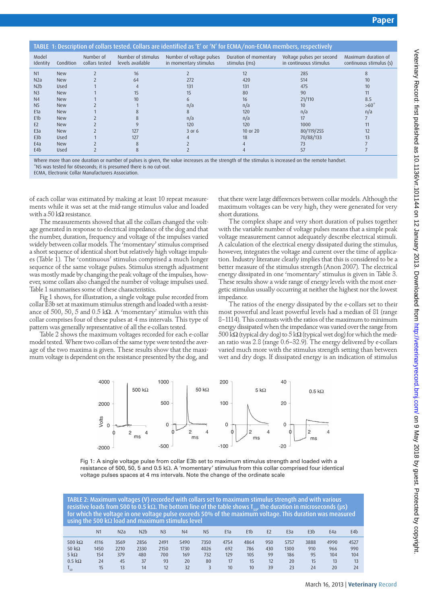| TABLE 1: Description of collars tested. Collars are identified as 'E' or 'N' for ECMA/non-ECMA members, respectively |             |                             |                                        |                                                   |                                        |                                                     |                                                |  |  |  |  |
|----------------------------------------------------------------------------------------------------------------------|-------------|-----------------------------|----------------------------------------|---------------------------------------------------|----------------------------------------|-----------------------------------------------------|------------------------------------------------|--|--|--|--|
| Model<br>Identity                                                                                                    | Condition   | Number of<br>collars tested | Number of stimulus<br>levels available | Number of voltage pulses<br>in momentary stimulus | Duration of momentary<br>stimulus (ms) | Voltage pulses per second<br>in continuous stimulus | Maximum duration of<br>continuous stimulus (s) |  |  |  |  |
| N1                                                                                                                   | <b>New</b>  |                             | 16                                     |                                                   | 12                                     | 285                                                 |                                                |  |  |  |  |
| N2a                                                                                                                  | <b>New</b>  |                             | 64                                     | 272                                               | 420                                    | 514                                                 | 10                                             |  |  |  |  |
| N <sub>2b</sub>                                                                                                      | <b>Used</b> |                             |                                        | 131                                               | 131                                    | 475                                                 | 10                                             |  |  |  |  |
| N <sub>3</sub>                                                                                                       | <b>New</b>  |                             | 15                                     | 15                                                | 80                                     | 90                                                  | 11                                             |  |  |  |  |
| N <sub>4</sub>                                                                                                       | <b>New</b>  |                             | 10                                     |                                                   | 16                                     | 21/110                                              | 8.5                                            |  |  |  |  |
| <b>N5</b>                                                                                                            | <b>New</b>  |                             |                                        | n/a                                               | n/a                                    | 10                                                  | $>60^{\degree}$                                |  |  |  |  |
| E <sub>1</sub> a                                                                                                     | <b>New</b>  |                             |                                        |                                                   | 120                                    | n/a                                                 | n/a                                            |  |  |  |  |
| E <sub>1</sub> b                                                                                                     | <b>New</b>  |                             |                                        | n/a                                               | n/a                                    | 17                                                  |                                                |  |  |  |  |
| E <sub>2</sub>                                                                                                       | <b>New</b>  |                             |                                        | 120                                               | 120                                    | 1000                                                |                                                |  |  |  |  |
| E3a                                                                                                                  | <b>New</b>  |                             | 127                                    | 3 or 6                                            | 10 or 20                               | 80/119/255                                          |                                                |  |  |  |  |
| E3b                                                                                                                  | <b>Used</b> |                             | 127                                    |                                                   | 18                                     | 70/88/133                                           | 13                                             |  |  |  |  |
| E4a                                                                                                                  | <b>New</b>  |                             |                                        |                                                   |                                        | 73                                                  |                                                |  |  |  |  |
| E <sub>4</sub> b                                                                                                     | Used        |                             |                                        |                                                   |                                        | 57                                                  |                                                |  |  |  |  |

Where more than one duration or number of pulses is given, the value increases as the strength of the stimulus is increased on the remote handset \*N5 was tested for 60seconds; it is presumed there is no cut-out.

ECMA, Electronic Collar Manufacturers Association.

of each collar was estimated by making at least 10 repeat measurements while it was set at the mid-range stimulus value and loaded with a 50 k $\Omega$  resistance.

The measurements showed that all the collars changed the voltage generated in response to electrical impedance of the dog and that the number, duration, frequency and voltage of the impulses varied widely between collar models. The 'momentary' stimulus comprised a short sequence of identical short but relatively high voltage impulses (Table 1). The 'continuous' stimulus comprised a much longer sequence of the same voltage pulses. Stimulus strength adjustment was mostly made by changing the peak voltage of the impulses, however, some collars also changed the number of voltage impulses used. Table 1 summarises some of these characteristics.

Fig 1 shows, for illustration, a single voltage pulse recorded from collar E3b set at maximum stimulus strength and loaded with a resistance of 500, 50, 5 and 0.5 kΩ. A 'momentary' stimulus with this collar comprises four of these pulses at 4 ms intervals. This type of pattern was generally representative of all the e-collars tested.

Table 2 shows the maximum voltages recorded for each e-collar model tested. Where two collars of the same type were tested the average of the two maxima is given. These results show that the maximum voltage is dependent on the resistance presented by the dog, and that there were large differences between collar models. Although the maximum voltages can be very high, they were generated for very short durations.

The complex shape and very short duration of pulses together with the variable number of voltage pulses means that a simple peak voltage measurement cannot adequately describe electrical stimuli. A calculation of the electrical energy dissipated during the stimulus, however, integrates the voltage and current over the time of application. Industry literature clearly implies that this is considered to be a better measure of the stimulus strength (Anon 2007). The electrical energy dissipated in one 'momentary' stimulus is given in Table 3. These results show a wide range of energy levels with the most energetic stimulus usually occurring at neither the highest nor the lowest impedance.

The ratios of the energy dissipated by the e-collars set to their most powerful and least powerful levels had a median of 81 (range 8–1114). This contrasts with the ratios of the maximum to minimum energy dissipated when the impedance was varied over the range from 500 kΩ (typical dry dog) to 5 kΩ (typical wet dog) for which the median ratio was 2.8 (range 0.6–32.9). The energy delivered by e-collars varied much more with the stimulus strength setting than between wet and dry dogs. If dissipated energy is an indication of stimulus



Fig 1: A single voltage pulse from collar E3b set to maximum stimulus strength and loaded with a resistance of 500, 50, 5 and 0.5 kΩ. A 'momentary' stimulus from this collar comprised four identical voltage pulses spaces at 4 ms intervals. Note the change of the ordinate scale

Table 2: Maximum voltages (V) recorded with collars set to maximum stimulus strength and with various resistive loads from 500 to 0.5 kΩ. The bottom line of the table shows T<sub>50</sub>, the duration in microseconds (μs) for which the voltage in one voltage pulse exceeds 50% of the maximum voltage. This duration was measured using the 500 kΩ load and maximum stimulus level

|                       | N <sub>1</sub> | N <sub>2</sub> a | N <sub>2b</sub> | N <sub>3</sub> | N <sub>4</sub> | N <sub>5</sub> | E <sub>1</sub> a | E <sub>1</sub> b | E <sub>2</sub> | E <sub>3</sub> a | E3b  | E4a  | E4b  |
|-----------------------|----------------|------------------|-----------------|----------------|----------------|----------------|------------------|------------------|----------------|------------------|------|------|------|
| 500 $k\Omega$         | 4116           | 3569             | 2856            | 2491           | 5490           | 7350           | 4754             | 4864             | 950            | 5757             | 3888 | 4990 | 4527 |
| 50 k $\Omega$         | 1450           | 2210             | 2330            | 2150           | 1730           | 4026           | 692              | 786              | 430            | 1300             | 910  | 966  | 990  |
| 5 k $\Omega$          | 154            | 379              | 480             | 700            | 169            | 732            | 129              | 105              | 99             | 186              | 95   | 104  | 104  |
| $0.5 \text{ k}\Omega$ | 24             | 45               | 37              | 93             | 20             | 80             | 17               | 15               | 12             | 20               | 15   | 13   | 13   |
| 150                   | 15             |                  | 14              | 12             | 32             |                | 10               | 10               | 39             | 23               | 24   | 20   | 24   |
|                       |                |                  |                 |                |                |                |                  |                  |                |                  |      |      |      |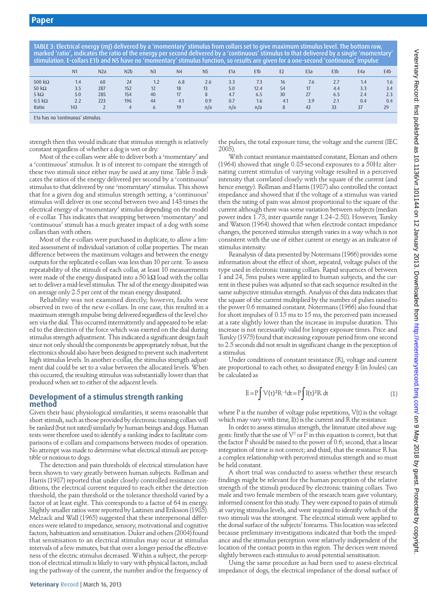Table 3: Electrical energy (mJ) delivered by a 'momentary' stimulus from collars set to give maximum stimulus level. The bottom row, marked 'ratio', indicates the ratio of the energy per second delivered by a 'continuous' stimulus to that delivered by a single 'momentary' stimulation. E-collars E1b and N5 have no 'momentary' stimulus function, so results are given for a one-second 'continuous' impulse

|                       | N1  | N2a | N2b | N <sub>3</sub> | N <sub>4</sub> | N <sub>5</sub> | E <sub>1</sub> a | E <sub>1</sub> b | E <sub>2</sub> | E <sub>3</sub> a | E3b | E4a | E4b |
|-----------------------|-----|-----|-----|----------------|----------------|----------------|------------------|------------------|----------------|------------------|-----|-----|-----|
| 500 $k\Omega$         | 1.4 | 60  | 24  | 1.2            | 6.8            | 2.6            | 3.3              | 7.3              | 16             | 7.6              | 2.7 | 1.4 | 1.6 |
| 50 k $\Omega$         | 3.5 | 287 | 152 | 12             | 18             | 13             | 5.0              | 12.4             | 54             | 17               | 4.4 | 3.3 | 3.4 |
| 5 k $\Omega$          | 5.0 | 285 | 154 | 40             | 17             | 8              | 4.7              | 6.5              | 30             | 27               | 6.5 | 2.4 | 2.3 |
| $0.5 \text{ k}\Omega$ | 2.2 | 223 | 196 | 44             | 4.1            | 0.9            | 0.7              | 1.6              | 4.1            | 3.9              | 2.1 | 0.4 | 0.4 |
| Ratio                 | 143 |     | 4   |                | 19             | n/a            | n/a              | n/a              | 8              | 43               | 33  | 37  | 29  |
|                       |     |     |     |                |                |                |                  |                  |                |                  |     |     |     |

E1a has no 'continuous' stimulus.

strength then this would indicate that stimulus strength is relatively constant regardless of whether a dog is wet or dry.

Most of the e-collars were able to deliver both a 'momentary' and a 'continuous' stimulus. It is of interest to compare the strength of these two stimuli since either may be used at any time. Table 3 indicates the ratios of the energy delivered per second by a 'continuous' stimulus to that delivered by one 'momentary' stimulus. This shows that for a given dog and stimulus strength setting, a 'continuous' stimulus will deliver in one second between two and 143 times the electrical energy of a 'momentary' stimulus depending on the model of e-collar. This indicates that swapping between 'momentary' and 'continuous' stimuli has a much greater impact of a dog with some collars than with others.

Most of the e-collars were purchased in duplicate, to allow a limited assessment of individual variation of collar properties. The mean difference between the maximum voltages and between the energy outputs for the replicated e-collars was less than 10 per cent. To assess repeatability of the stimuli of each collar, at least 10 measurements were made of the energy dissipated into a 50 kΩ load with the collar set to deliver a mid-level stimulus. The sd of the energy dissipated was on average only 2.5 per cent of the mean energy dissipated.

Reliability was not examined directly, however, faults were observed in two of the new e-collars. In one case, this resulted in a maximum strength impulse being delivered regardless of the level chosen via the dial. This occurred intermittently and appeared to be related to the direction of the force which was exerted on the dial during stimulus strength adjustment. This indicated a significant design fault since not only should the components be appropriately robust, but the electronics should also have been designed to prevent such inadvertent high stimulus levels. In another e-collar, the stimulus strength adjustment dial could be set to a value between the allocated levels. When this occurred, the resulting stimulus was substantially lower than that produced when set to either of the adjacent levels.

#### **Development of a stimulus strength ranking method**

Given their basic physiological similarities, it seems reasonable that short stimuli, such as those provided by electronic training collars will be ranked (but not rated) similarly by human beings and dogs. Human tests were therefore used to identify a ranking index to facilitate comparisons of e-collars and comparisons between modes of operation. No attempt was made to determine what electrical stimuli are perceptible or noxious to dogs.

The detection and pain thresholds of electrical stimulation have been shown to vary greatly between human subjects. Rollman and Harris (1987) reported that under closely controlled resistance conditions, the electrical current required to reach either the detection threshold, the pain threshold or the tolerance threshold varied by a factor of at least eight. This corresponds to a factor of 64 in energy. Slightly smaller ratios were reported by Laitinen and Eriksson (1985). Melzack and Wall (1965) suggested that these interpersonal differences were related to impedance, sensory, motivational and cognitive factors, habituation and sensitisation. Duker and others (2004) found that sensitisation to an electrical stimulus may occur at stimulus intervals of a few minutes, but that over a longer period the effectiveness of the electric stimulus decreased. Within a subject, the perception of electrical stimuli is likely to vary with physical factors, including the pathway of the current, the number and/or the frequency of the pulses, the total exposure time, the voltage and the current (IEC 2005).

With contact resistance maintained constant, Ekman and others (1964) showed that single 0.85-second exposures to a 50Hz alternating current stimulus of varying voltage resulted in a perceived intensity that correlated closely with the square of the current (and hence energy). Rollman and Harris (1987) also controlled the contact impedance and showed that if the voltage of a stimulus was varied then the rating of pain was almost proportional to the square of the current although there was some variation between subjects (median power index 1.73, inter quartile range 1.24–2.58). However, Tursky and Watson (1964) showed that when electrode contact impedance changes, the perceived stimulus strength varies in a way which is not consistent with the use of either current or energy as an indicator of stimulus intensity.

Reanalysis of data presented by Notermans (1966) provides some information about the effect of short, repeated, voltage pulses of the type used in electronic training collars. Rapid sequences of between 1 and 24, 5ms pulses were applied to human subjects, and the current in these pulses was adjusted so that each sequence resulted in the same subjective stimulus strength. Analysis of this data indicates that the square of the current multiplied by the number of pulses raised to the power 0.6 remained constant. Notermans (1966) also found that for short impulses of 0.15 ms to 15 ms, the perceived pain increased at a rate slightly lower than the increase in impulse duration. This increase is not necessarily valid for longer exposure times. Price and Tursky (1975) found that increasing exposure period from one second to 2.5 seconds did not result in significant change in the perception of a stimulus.

Under conditions of constant resistance (R), voltage and current are proportional to each other, so dissipated energy  $E$  (in Joules) can be calculated as

$$
E = P \int V(t)^{2} R^{-1} dt = P \int I(t)^{2} R dt
$$
 (1)

where P is the number of voltage pulse repetitions, V(t) is the voltage which may vary with time, I(t) is the current and R the resistance.

In order to assess stimulus strength, the literature cited above suggests: firstly that the use of  $\mathrm{V}^2$  or  $\mathrm{I}^2$  in this equation is correct, but that the factor  $\dot{P}$  should be raised to the power of 0.6; second, that a linear integration of time is not correct; and third, that the resistance R has a complex relationship with perceived stimulus strength and so must be held constant.

A short trial was conducted to assess whether these research findings might be relevant for the human perception of the relative strength of the stimuli produced by electronic training collars. Two male and two female members of the research team gave voluntary, informed consent for this study. They were exposed to pairs of stimuli at varying stimulus levels, and were required to identify which of the two stimuli was the strongest. The electrical stimuli were applied to the dorsal surface of the subjects' forearms. This location was selected because preliminary investigations indicated that both the impedance and the stimulus perception were relatively independent of the location of the contact points in this region. The devices were moved slightly between each stimulus to avoid potential sensitisation.

Using the same procedure as had been used to assess electrical impedance of dogs, the electrical impedance of the dorsal surface of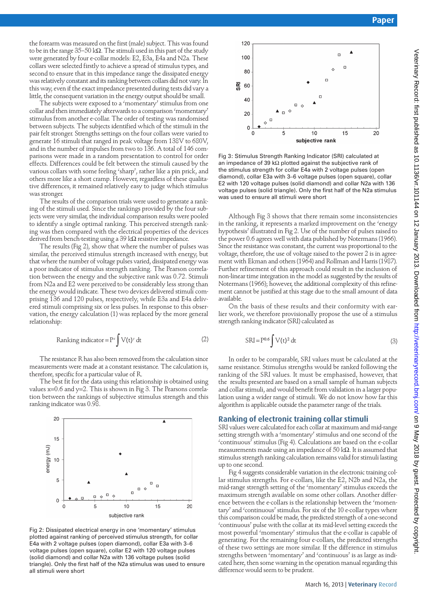the forearm was measured on the first (male) subject. This was found to be in the range  $35-50$  kΩ. The stimuli used in this part of the study were generated by four e-collar models: E2, E3a, E4a and N2a. These collars were selected firstly to achieve a spread of stimulus types, and second to ensure that in this impedance range the dissipated energy was relatively constant and its ranking between collars did not vary. In this way, even if the exact impedance presented during tests did vary a little, the consequent variation in the energy output should be small.

The subjects were exposed to a 'momentary' stimulus from one collar and then immediately afterwards to a comparison 'momentary' stimulus from another e-collar. The order of testing was randomised between subjects. The subjects identified which of the stimuli in the pair felt stronger. Strengths settings on the four collars were varied to generate 16 stimuli that ranged in peak voltage from 138V to 680V, and in the number of impulses from two to 136. A total of 146 comparisons were made in a random presentation to control for order effects. Differences could be felt between the stimuli caused by the various collars with some feeling 'sharp', rather like a pin prick, and others more like a short cramp. However, regardless of these qualitative differences, it remained relatively easy to judge which stimulus was stronger.

The results of the comparison trials were used to generate a ranking of the stimuli used. Since the rankings provided by the four subjects were very similar, the individual comparison results were pooled to identify a single optimal ranking. This perceived strength ranking was then compared with the electrical properties of the devices derived from bench-testing using a 39 kΩ resistive impedance.

The results (Fig 2), show that where the number of pulses was similar, the perceived stimulus strength increased with energy, but that where the number of voltage pulses varied, dissipated energy was a poor indicator of stimulus strength ranking. The Pearson correlation between the energy and the subjective rank was 0.72. Stimuli from N2a and E2 were perceived to be considerably less strong than the energy would indicate. These two devices delivered stimuli comprising 136 and 120 pulses, respectively, while E3a and E4a delivered stimuli comprising six or less pulses. In response to this observation, the energy calculation (1) was replaced by the more general relationship:

Ranking indicator = 
$$
P^x \int V(t)^y dt
$$
 (2)

The resistance R has also been removed from the calculation since measurements were made at a constant resistance. The calculation is, therefore, specific for a particular value of R.

The best fit for the data using this relationship is obtained using values x=0.6 and y=2. This is shown in Fig 3. The Pearsons correlation between the rankings of subjective stimulus strength and this ranking indicator was 0.98.



Fig 2: Dissipated electrical energy in one 'momentary' stimulus plotted against ranking of perceived stimulus strength, for collar E4a with 2 voltage pulses (open diamond), collar E3a with 3–6 voltage pulses (open square), collar E2 with 120 voltage pulses (solid diamond) and collar N2a with 136 voltage pulses (solid triangle). Only the first half of the N2a stimulus was used to ensure all stimuli were short



Fig 3: Stimulus Strength Ranking Indicator (SRI) calculated at an impedance of 39 kΩ plotted against the subjective rank of the stimulus strength for collar E4a with 2 voltage pulses (open diamond), collar E3a with 3–6 voltage pulses (open square), collar E2 with 120 voltage pulses (solid diamond) and collar N2a with 136 voltage pulses (solid triangle). Only the first half of the N2a stimulus was used to ensure all stimuli were short

Although Fig 3 shows that there remain some inconsistencies in the ranking, it represents a marked improvement on the 'energy hypothesis' illustrated in Fig 2. Use of the number of pulses raised to the power 0.6 agrees well with data published by Notermans (1966). Since the resistance was constant, the current was proportional to the voltage, therefore, the use of voltage raised to the power 2 is in agreement with Ekman and others (1964) and Rollman and Harris (1987). Further refinement of this approach could result in the inclusion of non-linear time integration in the model as suggested by the results of Notermans (1966); however, the additional complexity of this refinement cannot be justified at this stage due to the small amount of data available.

On the basis of these results and their conformity with earlier work, we therefore provisionally propose the use of a stimulus strength ranking indicator (SRI) calculated as

$$
SRI = P^{0.6} \int V(t)^2 dt
$$
 (3)

In order to be comparable, SRI values must be calculated at the same resistance. Stimulus strengths would be ranked following the ranking of the SRI values. It must be emphasised, however, that the results presented are based on a small sample of human subjects and collar stimuli, and would benefit from validation in a larger population using a wider range of stimuli. We do not know how far this algorithm is applicable outside the parameter range of the trials.

### **Ranking of electronic training collar stimuli**

SRI values were calculated for each collar at maximum and mid-range setting strength with a 'momentary' stimulus and one second of the 'continuous' stimulus (Fig 4). Calculations are based on the e-collar measurements made using an impedance of 50 kΩ. It is assumed that stimulus strength ranking calculation remains valid for stimuli lasting up to one second.

Fig 4 suggests considerable variation in the electronic training collar stimulus strengths. For e-collars, like the E2, N2b and N2a, the mid-range strength setting of the 'momentary' stimulus exceeds the maximum strength available on some other collars. Another difference between the e-collars is the relationship between the 'momentary' and 'continuous' stimulus. For six of the 10 e-collar types where this comparison could be made, the predicted strength of a one-second 'continuous' pulse with the collar at its mid-level setting exceeds the most powerful 'momentary' stimulus that the e-collar is capable of generating. For the remaining four e-collars, the predicted strengths of these two settings are more similar. If the difference in stimulus strengths between 'momentary' and 'continuous' is as large as indicated here, then some warning in the operation manual regarding this difference would seem to be prudent.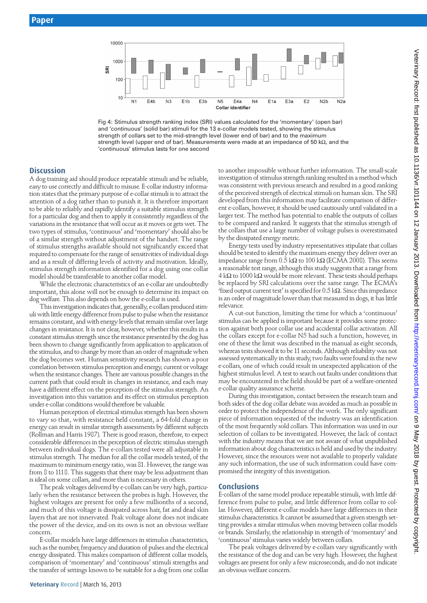



#### **Discussion**

A dog training aid should produce repeatable stimuli and be reliable, easy to use correctly and difficult to misuse. E-collar industry information states that the primary purpose of e-collar stimuli is to attract the attention of a dog rather than to punish it. It is therefore important to be able to reliably and rapidly identify a suitable stimulus strength for a particular dog and then to apply it consistently regardless of the variations in the resistance that will occur as it moves or gets wet. The two types of stimulus, 'continuous' and 'momentary' should also be of a similar strength without adjustment of the handset. The range of stimulus strengths available should not significantly exceed that required to compensate for the range of sensitivities of individual dogs and as a result of differing levels of activity and motivation. Ideally, stimulus strength information identified for a dog using one collar model should be transferable to another collar model.

While the electronic characteristics of an e-collar are undoubtedly important, this alone will not be enough to determine its impact on dog welfare. This also depends on how the e-collar is used.

This investigation indicates that, generally, e-collars produced stimuli with little energy difference from pulse to pulse when the resistance remains constant, and with energy levels that remain similar over large changes in resistance. It is not clear, however, whether this results in a constant stimulus strength since the resistance presented by the dog has been shown to change significantly from application to application of the stimulus, and to change by more than an order of magnitude when the dog becomes wet. Human sensitivity research has shown a poor correlation between stimulus perception and energy, current or voltage when the resistance changes. There are various possible changes in the current path that could result in changes in resistance, and each may have a different effect on the perception of the stimulus strength. An investigation into this variation and its effect on stimulus perception under e-collar conditions would therefore be valuable.

Human perception of electrical stimulus strength has been shown to vary so that, with resistance held constant, a 64-fold change in energy can result in similar strength assessments by different subjects (Rollman and Harris 1987). There is good reason, therefore, to expect considerable differences in the perception of electric stimulus strength between individual dogs. The e-collars tested were all adjustable in stimulus strength. The median for all the collar models tested, of the maximum to minimum energy ratio, was 81. However, the range was from 8 to 1118. This suggests that there may be less adjustment than is ideal on some collars, and more than is necessary in others.

The peak voltages delivered by e-collars can be very high, particularly when the resistance between the probes is high. However, the highest voltages are present for only a few millionths of a second, and much of this voltage is dissipated across hair, fat and dead skin layers that are not innervated. Peak voltage alone does not indicate the power of the device, and on its own is not an obvious welfare concern.

E-collar models have large differences in stimulus characteristics, such as the number, frequency and duration of pulses and the electrical energy dissipated. This makes comparison of different collar models, comparison of 'momentary' and 'continuous' stimuli strengths and the transfer of settings known to be suitable for a dog from one collar to another impossible without further information. The small-scale investigation of stimulus strength ranking resulted in a method which was consistent with previous research and resulted in a good ranking of the perceived strength of electrical stimuli on human skin. The SRI developed from this information may facilitate comparison of different e-collars, however, it should be used cautiously until validated in a larger test. The method has potential to enable the outputs of collars to be compared and ranked. It suggests that the stimulus strength of the collars that use a large number of voltage pulses is overestimated by the dissipated energy metric.

Energy tests used by industry representatives stipulate that collars should be tested to identify the maximum energy they deliver over an impedance range from  $0.5$  kΩ to 100 kΩ (ECMA 2008). This seems a reasonable test range, although this study suggests that a range from  $4 k\Omega$  to 1000 k $\Omega$  would be more relevant. These tests should perhaps be replaced by SRI calculations over the same range. The ECMA's 'fixed output current test' is specified for  $0.5 \text{ k}\Omega$ . Since this impedance is an order of magnitude lower than that measured in dogs, it has little relevance.

A cut-out function, limiting the time for which a 'continuous' stimulus can be applied is important because it provides some protection against both poor collar use and accidental collar activation. All the collars except for e-collar N5 had such a function, however, in one of these the limit was described in the manual as eight seconds, whereas tests showed it to be 11 seconds. Although reliability was not assessed systematically in this study, two faults were found in the new e-collars, one of which could result in unexpected application of the highest stimulus level. A test to search out faults under conditions that may be encountered in the field should be part of a welfare-oriented e-collar quality assurance scheme.

During this investigation, contact between the research team and both sides of the dog collar debate was avoided as much as possible in order to protect the independence of the work. The only significant piece of information requested of the industry was an identification of the most frequently sold collars. This information was used in our selection of collars to be investigated. However, the lack of contact with the industry means that we are not aware of what unpublished information about dog characteristics is held and used by the industry. However, since the resources were not available to properly validate any such information, the use of such information could have compromised the integrity of this investigation.

#### **Conclusions**

E-collars of the same model produce repeatable stimuli, with little difference from pulse to pulse, and little difference from collar to collar. However, different e-collar models have large differences in their stimulus characteristics. It cannot be assumed that a given strength setting provides a similar stimulus when moving between collar models or brands. Similarly, the relationship in strength of 'momentary' and 'continuous' stimulus varies widely between collars.

The peak voltages delivered by e-collars vary significantly with the resistance of the dog and can be very high. However, the highest voltages are present for only a few microseconds, and do not indicate an obvious welfare concern.